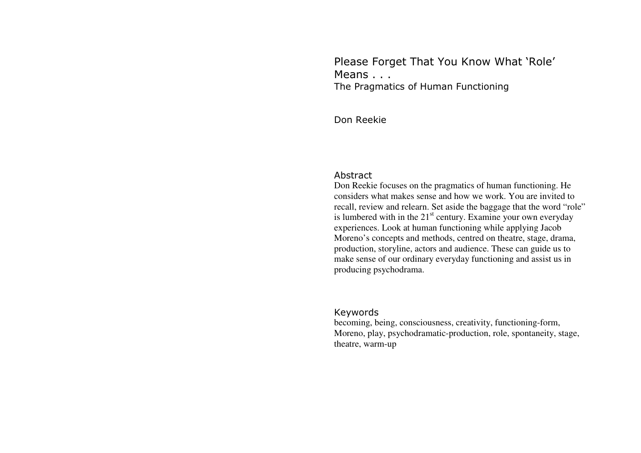Please Forget That You Know What 'Role' Means . . . The Pragmatics of Human Functioning

Don Reekie

#### Abstract

 Don Reekie focuses on the pragmatics of human functioning. He considers what makes sense and how we work. You are invited to recall, review and relearn. Set aside the baggage that the word "role" is lumbered with in the  $21<sup>st</sup>$  century. Examine your own everyday experiences. Look at human functioning while applying Jacob Moreno's concepts and methods, centred on theatre, stage, drama, production, storyline, actors and audience. These can guide us to make sense of our ordinary everyday functioning and assist us in producing psychodrama.

#### Keywords

 becoming, being, consciousness, creativity, functioning-form, Moreno, play, psychodramatic-production, role, spontaneity, stage, theatre, warm-up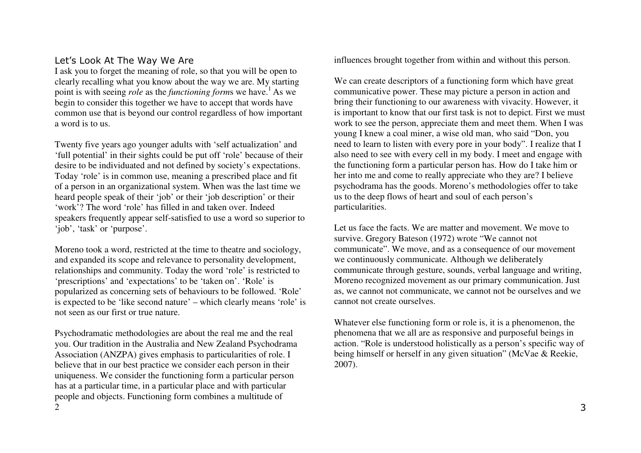# Let's Look At The Way We Are

 I ask you to forget the meaning of role, so that you will be open to clearly recalling what you know about the way we are. My starting point is with seeing *role* as the *functioning form*s we have.<sup>1</sup> As we begin to consider this together we have to accept that words have common use that is beyond our control regardless of how important a word is to us.

Twenty five years ago younger adults with 'self actualization' and 'full potential' in their sights could be put off 'role' because of their desire to be individuated and not defined by society's expectations. Today 'role' is in common use, meaning a prescribed place and fit of a person in an organizational system. When was the last time we heard people speak of their 'job' or their 'job description' or their 'work'? The word 'role' has filled in and taken over. Indeed speakers frequently appear self-satisfied to use a word so superior to 'job', 'task' or 'purpose'.

Moreno took a word, restricted at the time to theatre and sociology, and expanded its scope and relevance to personality development, relationships and community. Today the word 'role' is restricted to 'prescriptions' and 'expectations' to be 'taken on'. 'Role' is popularized as concerning sets of behaviours to be followed. 'Role' is expected to be 'like second nature' – which clearly means 'role' is not seen as our first or true nature.

Psychodramatic methodologies are about the real me and the real you. Our tradition in the Australia and New Zealand Psychodrama Association (ANZPA) gives emphasis to particularities of role. I believe that in our best practice we consider each person in their uniqueness. We consider the functioning form a particular person has at a particular time, in a particular place and with particular people and objects. Functioning form combines a multitude of  $\mathcal{D}$ 

influences brought together from within and without this person.

We can create descriptors of a functioning form which have great communicative power. These may picture a person in action and bring their functioning to our awareness with vivacity. However, it is important to know that our first task is not to depict. First we must work to see the person, appreciate them and meet them. When I was young I knew a coal miner, a wise old man, who said "Don, you need to learn to listen with every pore in your body". I realize that I also need to see with every cell in my body. I meet and engage with the functioning form a particular person has. How do I take him or her into me and come to really appreciate who they are? I believe psychodrama has the goods. Moreno's methodologies offer to take us to the deep flows of heart and soul of each person's particularities.

Let us face the facts. We are matter and movement. We move to survive. Gregory Bateson (1972) wrote "We cannot not communicate". We move, and as a consequence of our movement we continuously communicate. Although we deliberately communicate through gesture, sounds, verbal language and writing, Moreno recognized movement as our primary communication. Just as, we cannot not communicate, we cannot not be ourselves and we cannot not create ourselves.

Whatever else functioning form or role is, it is a phenomenon, the phenomena that we all are as responsive and purposeful beings in action. "Role is understood holistically as a person's specific way of being himself or herself in any given situation" (McVae & Reekie, 2007).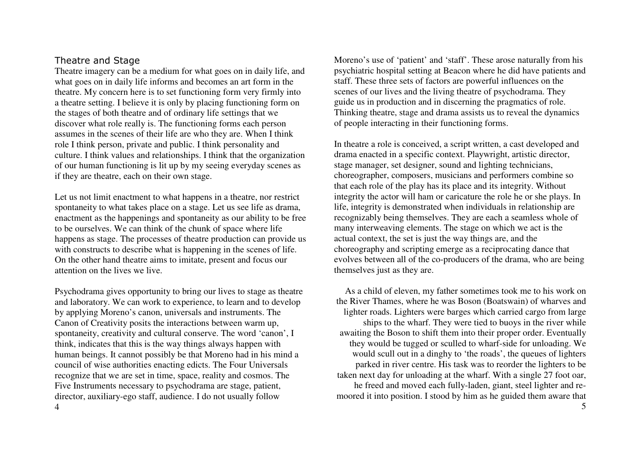## Theatre and Stage

 Theatre imagery can be a medium for what goes on in daily life, and what goes on in daily life informs and becomes an art form in the theatre. My concern here is to set functioning form very firmly into a theatre setting. I believe it is only by placing functioning form on the stages of both theatre and of ordinary life settings that we discover what role really is. The functioning forms each person assumes in the scenes of their life are who they are. When I think role I think person, private and public. I think personality and culture. I think values and relationships. I think that the organization of our human functioning is lit up by my seeing everyday scenes as if they are theatre, each on their own stage.

Let us not limit enactment to what happens in a theatre, nor restrict spontaneity to what takes place on a stage. Let us see life as drama, enactment as the happenings and spontaneity as our ability to be free to be ourselves. We can think of the chunk of space where life happens as stage. The processes of theatre production can provide us with constructs to describe what is happening in the scenes of life. On the other hand theatre aims to imitate, present and focus our attention on the lives we live.

Psychodrama gives opportunity to bring our lives to stage as theatre and laboratory. We can work to experience, to learn and to develop by applying Moreno's canon, universals and instruments. The Canon of Creativity posits the interactions between warm up, spontaneity, creativity and cultural conserve. The word 'canon', I think, indicates that this is the way things always happen with human beings. It cannot possibly be that Moreno had in his mind a council of wise authorities enacting edicts. The Four Universals recognize that we are set in time, space, reality and cosmos. The Five Instruments necessary to psychodrama are stage, patient, director, auxiliary-ego staff, audience. I do not usually follow

Moreno's use of 'patient' and 'staff'. These arose naturally from his psychiatric hospital setting at Beacon where he did have patients and staff. These three sets of factors are powerful influences on the scenes of our lives and the living theatre of psychodrama. They guide us in production and in discerning the pragmatics of role. Thinking theatre, stage and drama assists us to reveal the dynamics of people interacting in their functioning forms.

In theatre a role is conceived, a script written, a cast developed and drama enacted in a specific context. Playwright, artistic director, stage manager, set designer, sound and lighting technicians, choreographer, composers, musicians and performers combine so that each role of the play has its place and its integrity. Without integrity the actor will ham or caricature the role he or she plays. In life, integrity is demonstrated when individuals in relationship are recognizably being themselves. They are each a seamless whole of many interweaving elements. The stage on which we act is the actual context, the set is just the way things are, and the choreography and scripting emerge as a reciprocating dance that evolves between all of the co-producers of the drama, who are being themselves just as they are.

As a child of eleven, my father sometimes took me to his work on the River Thames, where he was Boson (Boatswain) of wharves and lighter roads. Lighters were barges which carried cargo from large ships to the wharf. They were tied to buoys in the river while awaiting the Boson to shift them into their proper order. Eventually they would be tugged or sculled to wharf-side for unloading. We would scull out in a dinghy to 'the roads', the queues of lighters parked in river centre. His task was to reorder the lighters to be taken next day for unloading at the wharf. With a single 27 foot oar, he freed and moved each fully-laden, giant, steel lighter and remoored it into position. I stood by him as he guided them aware that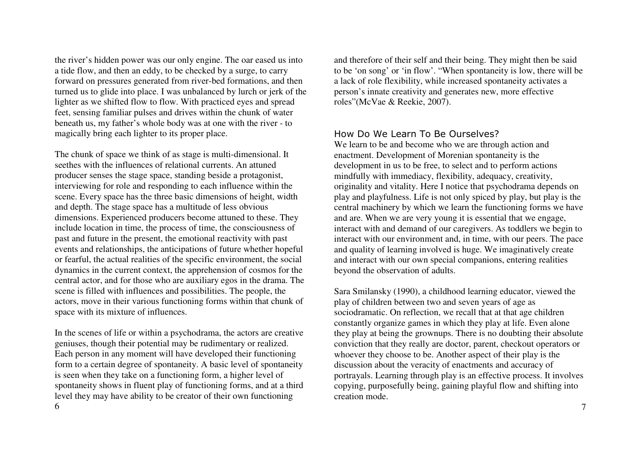the river's hidden power was our only engine. The oar eased us into a tide flow, and then an eddy, to be checked by a surge, to carry forward on pressures generated from river-bed formations, and then turned us to glide into place. I was unbalanced by lurch or jerk of the lighter as we shifted flow to flow. With practiced eyes and spread feet, sensing familiar pulses and drives within the chunk of water beneath us, my father's whole body was at one with the river - to magically bring each lighter to its proper place.

The chunk of space we think of as stage is multi-dimensional. It seethes with the influences of relational currents. An attuned producer senses the stage space, standing beside a protagonist, interviewing for role and responding to each influence within the scene. Every space has the three basic dimensions of height, width and depth. The stage space has a multitude of less obvious dimensions. Experienced producers become attuned to these. They include location in time, the process of time, the consciousness of past and future in the present, the emotional reactivity with past events and relationships, the anticipations of future whether hopeful or fearful, the actual realities of the specific environment, the social dynamics in the current context, the apprehension of cosmos for the central actor, and for those who are auxiliary egos in the drama. The scene is filled with influences and possibilities. The people, the actors, move in their various functioning forms within that chunk of space with its mixture of influences.

In the scenes of life or within a psychodrama, the actors are creative geniuses, though their potential may be rudimentary or realized. Each person in any moment will have developed their functioning form to a certain degree of spontaneity. A basic level of spontaneity is seen when they take on a functioning form, a higher level of spontaneity shows in fluent play of functioning forms, and at a third level they may have ability to be creator of their own functioning 6

and therefore of their self and their being. They might then be said to be 'on song' or 'in flow'. "When spontaneity is low, there will be a lack of role flexibility, while increased spontaneity activates a person's innate creativity and generates new, more effective roles"(McVae & Reekie, 2007).

## How Do We Learn To Be Ourselves?

 We learn to be and become who we are through action and enactment. Development of Morenian spontaneity is the development in us to be free, to select and to perform actions mindfully with immediacy, flexibility, adequacy, creativity, originality and vitality. Here I notice that psychodrama depends on play and playfulness. Life is not only spiced by play, but play is the central machinery by which we learn the functioning forms we have and are. When we are very young it is essential that we engage, interact with and demand of our caregivers. As toddlers we begin to interact with our environment and, in time, with our peers. The pace and quality of learning involved is huge. We imaginatively create and interact with our own special companions, entering realities beyond the observation of adults.

Sara Smilansky (1990), a childhood learning educator, viewed the play of children between two and seven years of age as sociodramatic. On reflection, we recall that at that age children constantly organize games in which they play at life. Even alone they play at being the grownups. There is no doubting their absolute conviction that they really are doctor, parent, checkout operators or whoever they choose to be. Another aspect of their play is the discussion about the veracity of enactments and accuracy of portrayals. Learning through play is an effective process. It involves copying, purposefully being, gaining playful flow and shifting into creation mode.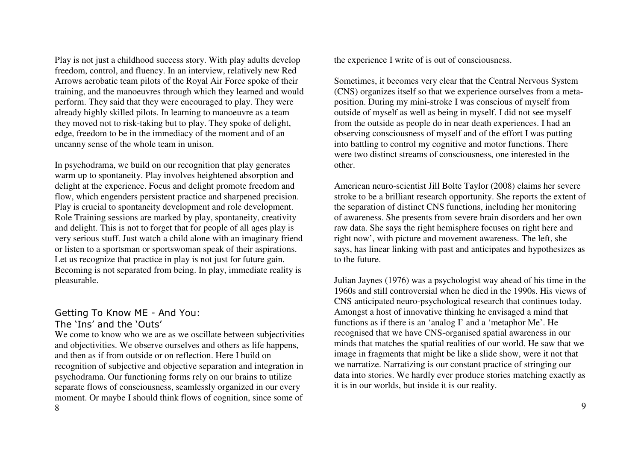Play is not just a childhood success story. With play adults develop freedom, control, and fluency. In an interview, relatively new Red Arrows aerobatic team pilots of the Royal Air Force spoke of their training, and the manoeuvres through which they learned and would perform. They said that they were encouraged to play. They were already highly skilled pilots. In learning to manoeuvre as a team they moved not to risk-taking but to play. They spoke of delight, edge, freedom to be in the immediacy of the moment and of an uncanny sense of the whole team in unison.

In psychodrama, we build on our recognition that play generates warm up to spontaneity. Play involves heightened absorption and delight at the experience. Focus and delight promote freedom and flow, which engenders persistent practice and sharpened precision. Play is crucial to spontaneity development and role development. Role Training sessions are marked by play, spontaneity, creativity and delight. This is not to forget that for people of all ages play is very serious stuff. Just watch a child alone with an imaginary friend or listen to a sportsman or sportswoman speak of their aspirations. Let us recognize that practice in play is not just for future gain. Becoming is not separated from being. In play, immediate reality is pleasurable.

# Getting To Know ME - And You: The 'Ins' and the 'Outs'

 We come to know who we are as we oscillate between subjectivities and objectivities. We observe ourselves and others as life happens, and then as if from outside or on reflection. Here I build on recognition of subjective and objective separation and integration in psychodrama. Our functioning forms rely on our brains to utilize separate flows of consciousness, seamlessly organized in our every moment. Or maybe I should think flows of cognition, since some of 8

the experience I write of is out of consciousness.

Sometimes, it becomes very clear that the Central Nervous System (CNS) organizes itself so that we experience ourselves from a metaposition. During my mini-stroke I was conscious of myself from outside of myself as well as being in myself. I did not see myself from the outside as people do in near death experiences. I had an observing consciousness of myself and of the effort I was putting into battling to control my cognitive and motor functions. There were two distinct streams of consciousness, one interested in the other.

American neuro-scientist Jill Bolte Taylor (2008) claims her severe stroke to be a brilliant research opportunity. She reports the extent of the separation of distinct CNS functions, including her monitoring of awareness. She presents from severe brain disorders and her own raw data. She says the right hemisphere focuses on right here and right now', with picture and movement awareness. The left, she says, has linear linking with past and anticipates and hypothesizes as to the future.

Julian Jaynes (1976) was a psychologist way ahead of his time in the 1960s and still controversial when he died in the 1990s. His views of CNS anticipated neuro-psychological research that continues today. Amongst a host of innovative thinking he envisaged a mind that functions as if there is an 'analog I' and a 'metaphor Me'. He recognised that we have CNS-organised spatial awareness in our minds that matches the spatial realities of our world. He saw that we image in fragments that might be like a slide show, were it not that we narratize. Narratizing is our constant practice of stringing our data into stories. We hardly ever produce stories matching exactly as it is in our worlds, but inside it is our reality.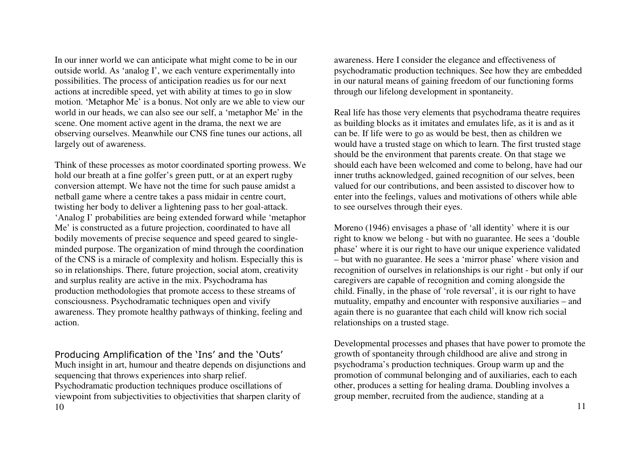In our inner world we can anticipate what might come to be in our outside world. As 'analog I', we each venture experimentally into possibilities. The process of anticipation readies us for our next actions at incredible speed, yet with ability at times to go in slow motion. 'Metaphor Me' is a bonus. Not only are we able to view our world in our heads, we can also see our self, a 'metaphor Me' in the scene. One moment active agent in the drama, the next we are observing ourselves. Meanwhile our CNS fine tunes our actions, all largely out of awareness.

Think of these processes as motor coordinated sporting prowess. We hold our breath at a fine golfer's green putt, or at an expert rugby conversion attempt. We have not the time for such pause amidst a netball game where a centre takes a pass midair in centre court, twisting her body to deliver a lightening pass to her goal-attack. 'Analog I' probabilities are being extended forward while 'metaphor Me' is constructed as a future projection, coordinated to have all bodily movements of precise sequence and speed geared to singleminded purpose. The organization of mind through the coordination of the CNS is a miracle of complexity and holism. Especially this is so in relationships. There, future projection, social atom, creativity and surplus reality are active in the mix. Psychodrama has production methodologies that promote access to these streams of consciousness. Psychodramatic techniques open and vivify awareness. They promote healthy pathways of thinking, feeling and action.

Producing Amplification of the 'Ins' and the 'Outs' Much insight in art, humour and theatre depends on disjunctions and sequencing that throws experiences into sharp relief. Psychodramatic production techniques produce oscillations of viewpoint from subjectivities to objectivities that sharpen clarity of 10

awareness. Here I consider the elegance and effectiveness of psychodramatic production techniques. See how they are embedded in our natural means of gaining freedom of our functioning forms through our lifelong development in spontaneity.

Real life has those very elements that psychodrama theatre requires as building blocks as it imitates and emulates life, as it is and as it can be. If life were to go as would be best, then as children we would have a trusted stage on which to learn. The first trusted stage should be the environment that parents create. On that stage we should each have been welcomed and come to belong, have had our inner truths acknowledged, gained recognition of our selves, been valued for our contributions, and been assisted to discover how to enter into the feelings, values and motivations of others while able to see ourselves through their eyes.

Moreno (1946) envisages a phase of 'all identity' where it is our right to know we belong - but with no guarantee. He sees a 'double phase' where it is our right to have our unique experience validated – but with no guarantee. He sees a 'mirror phase' where vision and recognition of ourselves in relationships is our right - but only if our caregivers are capable of recognition and coming alongside the child. Finally, in the phase of 'role reversal', it is our right to have mutuality, empathy and encounter with responsive auxiliaries – and again there is no guarantee that each child will know rich social relationships on a trusted stage.

Developmental processes and phases that have power to promote the growth of spontaneity through childhood are alive and strong in psychodrama's production techniques. Group warm up and the promotion of communal belonging and of auxiliaries, each to each other, produces a setting for healing drama. Doubling involves a group member, recruited from the audience, standing at a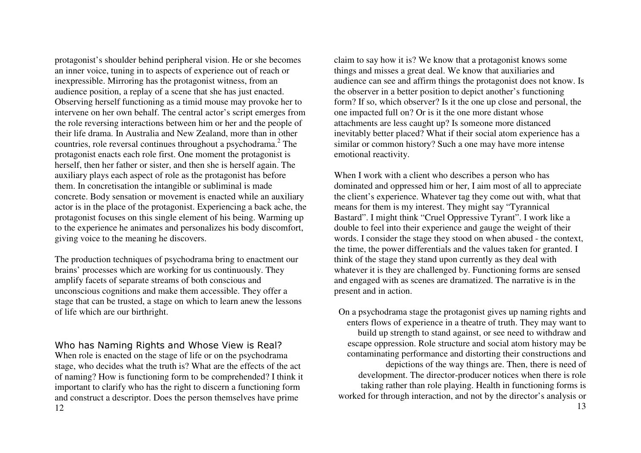protagonist's shoulder behind peripheral vision. He or she becomes an inner voice, tuning in to aspects of experience out of reach or inexpressible. Mirroring has the protagonist witness, from an audience position, a replay of a scene that she has just enacted. Observing herself functioning as a timid mouse may provoke her to intervene on her own behalf. The central actor's script emerges from the role reversing interactions between him or her and the people of their life drama. In Australia and New Zealand, more than in other countries, role reversal continues throughout a psychodrama. $2$  The protagonist enacts each role first. One moment the protagonist is herself, then her father or sister, and then she is herself again. The auxiliary plays each aspect of role as the protagonist has before them. In concretisation the intangible or subliminal is made concrete. Body sensation or movement is enacted while an auxiliary actor is in the place of the protagonist. Experiencing a back ache, the protagonist focuses on this single element of his being. Warming up to the experience he animates and personalizes his body discomfort, giving voice to the meaning he discovers.

The production techniques of psychodrama bring to enactment our brains' processes which are working for us continuously. They amplify facets of separate streams of both conscious and unconscious cognitions and make them accessible. They offer a stage that can be trusted, a stage on which to learn anew the lessons of life which are our birthright.

Who has Naming Rights and Whose View is Real? When role is enacted on the stage of life or on the psychodrama stage, who decides what the truth is? What are the effects of the act of naming? How is functioning form to be comprehended? I think it important to clarify who has the right to discern a functioning form and construct a descriptor. Does the person themselves have prime 12

claim to say how it is? We know that a protagonist knows some things and misses a great deal. We know that auxiliaries and audience can see and affirm things the protagonist does not know. Is the observer in a better position to depict another's functioning form? If so, which observer? Is it the one up close and personal, the one impacted full on? Or is it the one more distant whose attachments are less caught up? Is someone more distanced inevitably better placed? What if their social atom experience has a similar or common history? Such a one may have more intense emotional reactivity.

When I work with a client who describes a person who has dominated and oppressed him or her, I aim most of all to appreciate the client's experience. Whatever tag they come out with, what that means for them is my interest. They might say "Tyrannical Bastard". I might think "Cruel Oppressive Tyrant". I work like a double to feel into their experience and gauge the weight of their words. I consider the stage they stood on when abused - the context, the time, the power differentials and the values taken for granted. I think of the stage they stand upon currently as they deal with whatever it is they are challenged by. Functioning forms are sensed and engaged with as scenes are dramatized. The narrative is in the present and in action.

On a psychodrama stage the protagonist gives up naming rights and enters flows of experience in a theatre of truth. They may want to build up strength to stand against, or see need to withdraw and escape oppression. Role structure and social atom history may be contaminating performance and distorting their constructions and depictions of the way things are. Then, there is need of development. The director-producer notices when there is role taking rather than role playing. Health in functioning forms is worked for through interaction, and not by the director's analysis or 13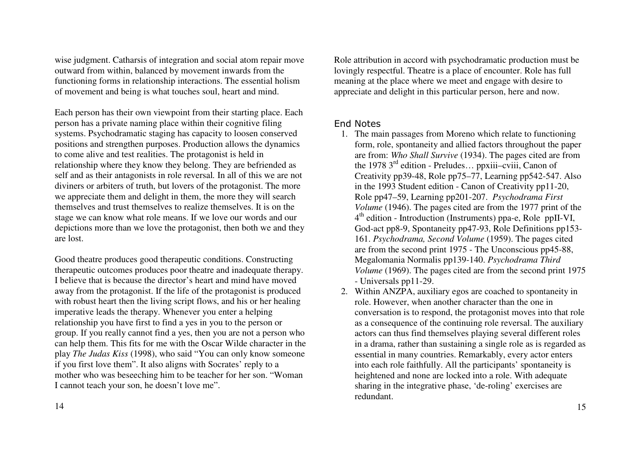wise judgment. Catharsis of integration and social atom repair move outward from within, balanced by movement inwards from the functioning forms in relationship interactions. The essential holism of movement and being is what touches soul, heart and mind.

Each person has their own viewpoint from their starting place. Each person has a private naming place within their cognitive filing systems. Psychodramatic staging has capacity to loosen conserved positions and strengthen purposes. Production allows the dynamics to come alive and test realities. The protagonist is held in relationship where they know they belong. They are befriended as self and as their antagonists in role reversal*.* In all of this we are not diviners or arbiters of truth, but lovers of the protagonist. The more we appreciate them and delight in them, the more they will search themselves and trust themselves to realize themselves. It is on the stage we can know what role means. If we love our words and our depictions more than we love the protagonist, then both we and they are lost.

Good theatre produces good therapeutic conditions. Constructing therapeutic outcomes produces poor theatre and inadequate therapy. I believe that is because the director's heart and mind have moved away from the protagonist. If the life of the protagonist is produced with robust heart then the living script flows, and his or her healing imperative leads the therapy. Whenever you enter a helping relationship you have first to find a yes in you to the person or group. If you really cannot find a yes, then you are not a person who can help them. This fits for me with the Oscar Wilde character in the play *The Judas Kiss* (1998), who said "You can only know someone if you first love them". It also aligns with Socrates' reply to a mother who was beseeching him to be teacher for her son. "Woman I cannot teach your son, he doesn't love me".

Role attribution in accord with psychodramatic production must be lovingly respectful. Theatre is a place of encounter. Role has full meaning at the place where we meet and engage with desire to appreciate and delight in this particular person, here and now.

### End Notes

- 1. The main passages from Moreno which relate to functioning form, role, spontaneity and allied factors throughout the paper are from: *Who Shall Survive* (1934). The pages cited are from the 1978 3rd edition - Preludes… ppxiii–cviii, Canon of Creativity pp39-48, Role pp75–77, Learning pp542-547. Also in the 1993 Student edition - Canon of Creativity pp11-20, Role pp47–59, Learning pp201-207. *Psychodrama First Volume* (1946). The pages cited are from the 1977 print of the 4th edition - Introduction (Instruments) ppa-e, Role ppII-VI, God-act pp8-9, Spontaneity pp47-93, Role Definitions pp153-161. *Psychodrama, Second Volume* (1959). The pages cited are from the second print 1975 - The Unconscious pp45-88, Megalomania Normalis pp139-140. *Psychodrama Third Volume* (1969). The pages cited are from the second print 1975 - Universals pp11-29.
- 2. Within ANZPA, auxiliary egos are coached to spontaneity in role. However, when another character than the one in conversation is to respond, the protagonist moves into that role as a consequence of the continuing role reversal. The auxiliary actors can thus find themselves playing several different roles in a drama, rather than sustaining a single role as is regarded as essential in many countries. Remarkably, every actor enters into each role faithfully. All the participants' spontaneity is heightened and none are locked into a role. With adequate sharing in the integrative phase, 'de-roling' exercises are redundant.